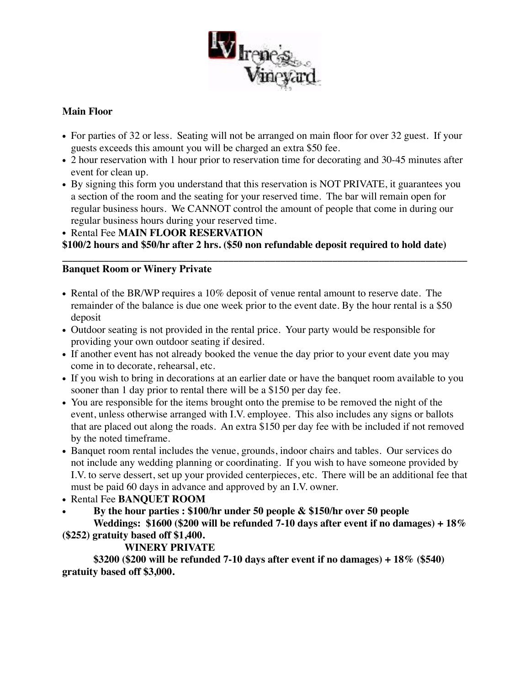

## **Main Floor**

- For parties of 32 or less. Seating will not be arranged on main floor for over 32 guest. If your guests exceeds this amount you will be charged an extra \$50 fee.
- 2 hour reservation with 1 hour prior to reservation time for decorating and 30-45 minutes after event for clean up.
- By signing this form you understand that this reservation is NOT PRIVATE, it guarantees you a section of the room and the seating for your reserved time. The bar will remain open for regular business hours. We CANNOT control the amount of people that come in during our regular business hours during your reserved time.

• Rental Fee **MAIN FLOOR RESERVATION**

**\$100/2 hours and \$50/hr after 2 hrs. (\$50 non refundable deposit required to hold date)**

## **\_\_\_\_\_\_\_\_\_\_\_\_\_\_\_\_\_\_\_\_\_\_\_\_\_\_\_\_\_\_\_\_\_\_\_\_\_\_\_\_\_\_\_\_\_\_\_\_\_\_\_\_\_\_\_\_\_\_\_\_\_\_\_\_\_\_\_\_\_\_\_\_\_\_\_\_\_\_ Banquet Room or Winery Private**

- Rental of the BR/WP requires a 10% deposit of venue rental amount to reserve date. The remainder of the balance is due one week prior to the event date. By the hour rental is a \$50 deposit
- Outdoor seating is not provided in the rental price. Your party would be responsible for providing your own outdoor seating if desired.
- If another event has not already booked the venue the day prior to your event date you may come in to decorate, rehearsal, etc.
- If you wish to bring in decorations at an earlier date or have the banquet room available to you sooner than 1 day prior to rental there will be a \$150 per day fee.
- You are responsible for the items brought onto the premise to be removed the night of the event, unless otherwise arranged with I.V. employee. This also includes any signs or ballots that are placed out along the roads. An extra \$150 per day fee with be included if not removed by the noted timeframe.
- Banquet room rental includes the venue, grounds, indoor chairs and tables. Our services do not include any wedding planning or coordinating. If you wish to have someone provided by I.V. to serve dessert, set up your provided centerpieces, etc. There will be an additional fee that must be paid 60 days in advance and approved by an I.V. owner.
- Rental Fee **BANQUET ROOM**
- **By the hour parties : \$100/hr under 50 people & \$150/hr over 50 people Weddings: \$1600 (\$200 will be refunded 7-10 days after event if no damages) + 18%**

**(\$252) gratuity based off \$1,400.**

## **WINERY PRIVATE**

**\$3200 (\$200 will be refunded 7-10 days after event if no damages) + 18% (\$540) gratuity based off \$3,000.**